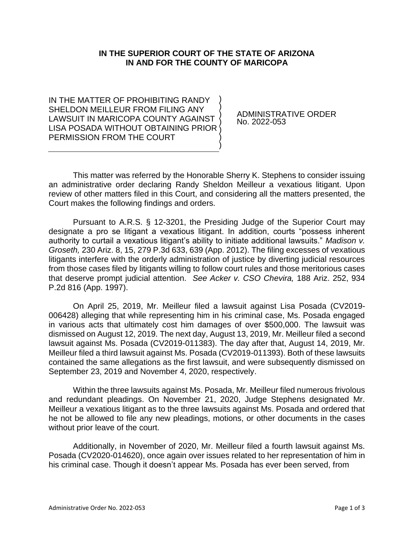## **IN THE SUPERIOR COURT OF THE STATE OF ARIZONA IN AND FOR THE COUNTY OF MARICOPA**

IN THE MATTER OF PROHIBITING RANDY SHELDON MEILLEUR FROM FILING ANY LAWSUIT IN MARICOPA COUNTY AGAINST LISA POSADA WITHOUT OBTAINING PRIOR PERMISSION FROM THE COURT ) ) ) ) ) ) )

ADMINISTRATIVE ORDER No. 2022-053

This matter was referred by the Honorable Sherry K. Stephens to consider issuing an administrative order declaring Randy Sheldon Meilleur a vexatious litigant. Upon review of other matters filed in this Court, and considering all the matters presented, the Court makes the following findings and orders.

Pursuant to A.R.S. § 12-3201, the Presiding Judge of the Superior Court may designate a pro se litigant a vexatious litigant. In addition, courts "possess inherent authority to curtail a vexatious litigant's ability to initiate additional lawsuits." *Madison v. Groseth,* 230 Ariz. 8, 15, 279 P.3d 633, 639 (App. 2012). The filing excesses of vexatious litigants interfere with the orderly administration of justice by diverting judicial resources from those cases filed by litigants willing to follow court rules and those meritorious cases that deserve prompt judicial attention. *See Acker v. CSO Chevira,* 188 Ariz. 252, 934 P.2d 816 (App. 1997).

On April 25, 2019, Mr. Meilleur filed a lawsuit against Lisa Posada (CV2019- 006428) alleging that while representing him in his criminal case, Ms. Posada engaged in various acts that ultimately cost him damages of over \$500,000. The lawsuit was dismissed on August 12, 2019. The next day, August 13, 2019, Mr. Meilleur filed a second lawsuit against Ms. Posada (CV2019-011383). The day after that, August 14, 2019, Mr. Meilleur filed a third lawsuit against Ms. Posada (CV2019-011393). Both of these lawsuits contained the same allegations as the first lawsuit, and were subsequently dismissed on September 23, 2019 and November 4, 2020, respectively.

Within the three lawsuits against Ms. Posada, Mr. Meilleur filed numerous frivolous and redundant pleadings. On November 21, 2020, Judge Stephens designated Mr. Meilleur a vexatious litigant as to the three lawsuits against Ms. Posada and ordered that he not be allowed to file any new pleadings, motions, or other documents in the cases without prior leave of the court.

Additionally, in November of 2020, Mr. Meilleur filed a fourth lawsuit against Ms. Posada (CV2020-014620), once again over issues related to her representation of him in his criminal case. Though it doesn't appear Ms. Posada has ever been served, from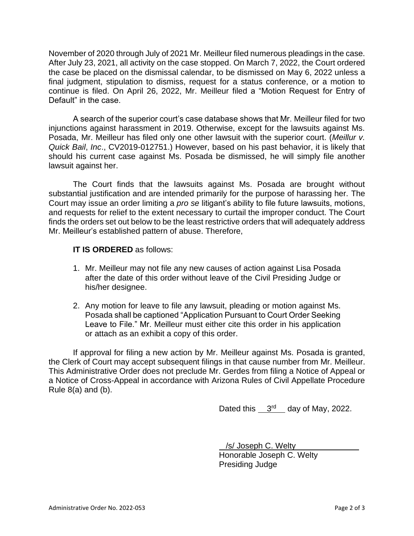November of 2020 through July of 2021 Mr. Meilleur filed numerous pleadings in the case. After July 23, 2021, all activity on the case stopped. On March 7, 2022, the Court ordered the case be placed on the dismissal calendar, to be dismissed on May 6, 2022 unless a final judgment, stipulation to dismiss, request for a status conference, or a motion to continue is filed. On April 26, 2022, Mr. Meilleur filed a "Motion Request for Entry of Default" in the case.

A search of the superior court's case database shows that Mr. Meilleur filed for two injunctions against harassment in 2019. Otherwise, except for the lawsuits against Ms. Posada, Mr. Meilleur has filed only one other lawsuit with the superior court. (*Meillur v. Quick Bail*, *Inc*., CV2019-012751.) However, based on his past behavior, it is likely that should his current case against Ms. Posada be dismissed, he will simply file another lawsuit against her.

The Court finds that the lawsuits against Ms. Posada are brought without substantial justification and are intended primarily for the purpose of harassing her. The Court may issue an order limiting a *pro se* litigant's ability to file future lawsuits, motions, and requests for relief to the extent necessary to curtail the improper conduct. The Court finds the orders set out below to be the least restrictive orders that will adequately address Mr. Meilleur's established pattern of abuse. Therefore,

## **IT IS ORDERED** as follows:

- 1. Mr. Meilleur may not file any new causes of action against Lisa Posada after the date of this order without leave of the Civil Presiding Judge or his/her designee.
- 2. Any motion for leave to file any lawsuit, pleading or motion against Ms. Posada shall be captioned "Application Pursuant to Court Order Seeking Leave to File." Mr. Meilleur must either cite this order in his application or attach as an exhibit a copy of this order.

If approval for filing a new action by Mr. Meilleur against Ms. Posada is granted, the Clerk of Court may accept subsequent filings in that cause number from Mr. Meilleur. This Administrative Order does not preclude Mr. Gerdes from filing a Notice of Appeal or a Notice of Cross-Appeal in accordance with Arizona Rules of Civil Appellate Procedure Rule  $8(a)$  and  $(b)$ .

Dated this  $3<sup>rd</sup>$  day of May, 2022.

 /s/ Joseph C. Welty Honorable Joseph C. Welty Presiding Judge